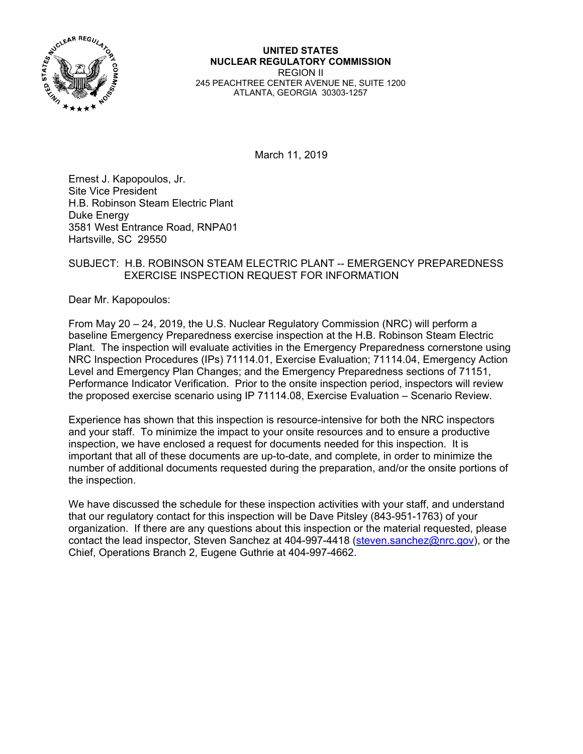

**UNITED STATES NUCLEAR REGULATORY COMMISSION**  REGION II 245 PEACHTREE CENTER AVENUE NE, SUITE 1200 ATLANTA, GEORGIA 30303-1257

March 11, 2019

Ernest J. Kapopoulos, Jr. Site Vice President H.B. Robinson Steam Electric Plant Duke Energy 3581 West Entrance Road, RNPA01 Hartsville, SC 29550

## SUBJECT: H.B. ROBINSON STEAM ELECTRIC PLANT -- EMERGENCY PREPAREDNESS EXERCISE INSPECTION REQUEST FOR INFORMATION

Dear Mr. Kapopoulos:

From May 20 – 24, 2019, the U.S. Nuclear Regulatory Commission (NRC) will perform a baseline Emergency Preparedness exercise inspection at the H.B. Robinson Steam Electric Plant. The inspection will evaluate activities in the Emergency Preparedness cornerstone using NRC Inspection Procedures (IPs) 71114.01, Exercise Evaluation; 71114.04, Emergency Action Level and Emergency Plan Changes; and the Emergency Preparedness sections of 71151, Performance Indicator Verification. Prior to the onsite inspection period, inspectors will review the proposed exercise scenario using IP 71114.08, Exercise Evaluation – Scenario Review.

Experience has shown that this inspection is resource-intensive for both the NRC inspectors and your staff. To minimize the impact to your onsite resources and to ensure a productive inspection, we have enclosed a request for documents needed for this inspection. It is important that all of these documents are up-to-date, and complete, in order to minimize the number of additional documents requested during the preparation, and/or the onsite portions of the inspection.

We have discussed the schedule for these inspection activities with your staff, and understand that our regulatory contact for this inspection will be Dave Pitsley (843-951-1763) of your organization. If there are any questions about this inspection or the material requested, please contact the lead inspector, Steven Sanchez at 404-997-4418 (steven.sanchez@nrc.gov), or the Chief, Operations Branch 2, Eugene Guthrie at 404-997-4662.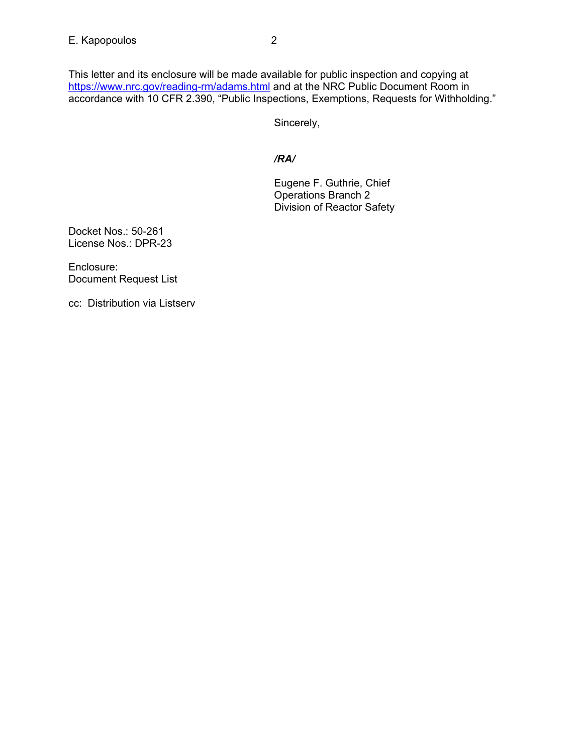This letter and its enclosure will be made available for public inspection and copying at https://www.nrc.gov/reading-rm/adams.html and at the NRC Public Document Room in accordance with 10 CFR 2.390, "Public Inspections, Exemptions, Requests for Withholding."

Sincerely,

## */RA/*

Eugene F. Guthrie, Chief Operations Branch 2 Division of Reactor Safety

Docket Nos.: 50-261 License Nos.: DPR-23

Enclosure: Document Request List

cc: Distribution via Listserv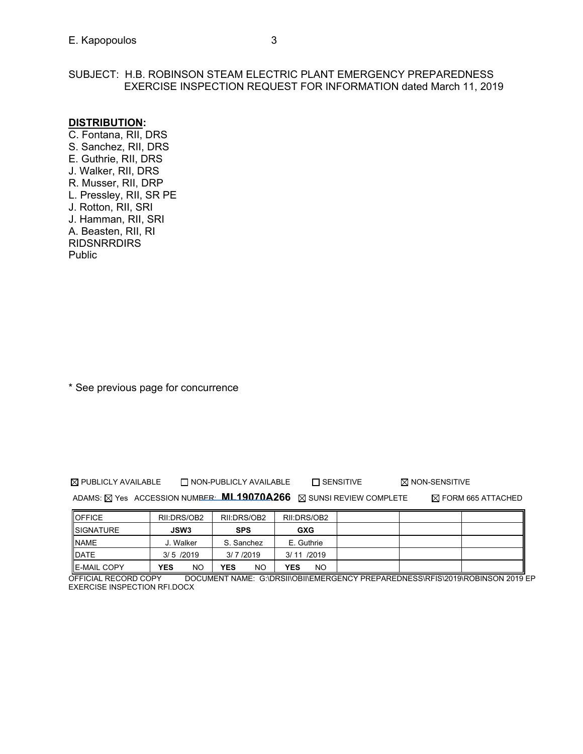## SUBJECT: H.B. ROBINSON STEAM ELECTRIC PLANT EMERGENCY PREPAREDNESS EXERCISE INSPECTION REQUEST FOR INFORMATION dated March 11, 2019

## **DISTRIBUTION:**

C. Fontana, RII, DRS S. Sanchez, RII, DRS E. Guthrie, RII, DRS J. Walker, RII, DRS R. Musser, RII, DRP L. Pressley, RII, SR PE J. Rotton, RII, SRI J. Hamman, RII, SRI A. Beasten, RII, RI RIDSNRRDIRS Public

\* See previous page for concurrence

 $\boxtimes$  PUBLICLY AVAILABLE  $\Box$  NON-PUBLICLY AVAILABLE  $\Box$  SENSITIVE  $\boxtimes$  NON-SENSITIVE

ADAMS: **NO ACCESSION NUMBER: ML19070A266** NO SUNSI REVIEW COMPLETE TO FORM 665 ATTACHED

| <b>OFFICE</b>       | RII:DRS/OB2 | RII:DRS/OB2      | RII:DRS/OB2      |  |  |
|---------------------|-------------|------------------|------------------|--|--|
| <b>ISIGNATURE</b>   | <b>JSW3</b> | <b>SPS</b>       | <b>GXG</b>       |  |  |
| <b>NAME</b>         | J. Walker   | S. Sanchez       | E. Guthrie       |  |  |
| DATE                | $3/5$ /2019 | 3/7/2019         | 3/11/2019        |  |  |
| <b>IE-MAIL COPY</b> | YES<br>NO   | <b>YES</b><br>NO | YES<br><b>NO</b> |  |  |

OFFICIAL RECORD COPY DOCUMENT NAME: G:\DRSII\OBII\EMERGENCY PREPAREDNESS\RFIS\2019\ROBINSON 2019 EP EXERCISE INSPECTION RFI.DOCX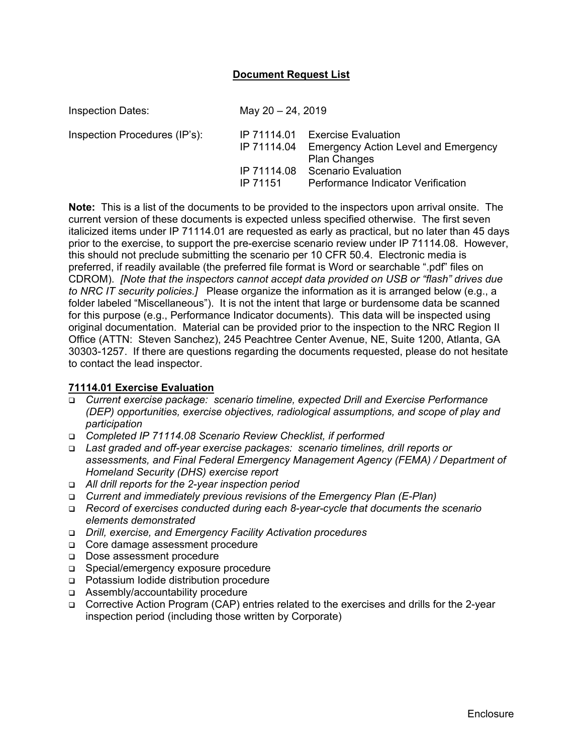### **Document Request List**

| <b>Inspection Dates:</b>      | May 20 - 24, 2019                                     |                                                                                                                                                                      |  |  |
|-------------------------------|-------------------------------------------------------|----------------------------------------------------------------------------------------------------------------------------------------------------------------------|--|--|
| Inspection Procedures (IP's): | IP 71114.01<br>IP 71114.04<br>IP 71114.08<br>IP 71151 | <b>Exercise Evaluation</b><br><b>Emergency Action Level and Emergency</b><br><b>Plan Changes</b><br><b>Scenario Evaluation</b><br>Performance Indicator Verification |  |  |

**Note:** This is a list of the documents to be provided to the inspectors upon arrival onsite. The current version of these documents is expected unless specified otherwise. The first seven italicized items under IP 71114.01 are requested as early as practical, but no later than 45 days prior to the exercise, to support the pre-exercise scenario review under IP 71114.08. However, this should not preclude submitting the scenario per 10 CFR 50.4. Electronic media is preferred, if readily available (the preferred file format is Word or searchable ".pdf" files on CDROM). *[Note that the inspectors cannot accept data provided on USB or "flash" drives due to NRC IT security policies.]* Please organize the information as it is arranged below (e.g., a folder labeled "Miscellaneous"). It is not the intent that large or burdensome data be scanned for this purpose (e.g., Performance Indicator documents). This data will be inspected using original documentation. Material can be provided prior to the inspection to the NRC Region II Office (ATTN: Steven Sanchez), 245 Peachtree Center Avenue, NE, Suite 1200, Atlanta, GA 30303-1257. If there are questions regarding the documents requested, please do not hesitate to contact the lead inspector.

#### **71114.01 Exercise Evaluation**

- *Current exercise package: scenario timeline, expected Drill and Exercise Performance (DEP) opportunities, exercise objectives, radiological assumptions, and scope of play and participation*
- *Completed IP 71114.08 Scenario Review Checklist, if performed*
- *Last graded and off-year exercise packages: scenario timelines, drill reports or assessments, and Final Federal Emergency Management Agency (FEMA) / Department of Homeland Security (DHS) exercise report*
- *All drill reports for the 2-year inspection period*
- *Current and immediately previous revisions of the Emergency Plan (E-Plan)*
- *Record of exercises conducted during each 8-year-cycle that documents the scenario elements demonstrated*
- *Drill, exercise, and Emergency Facility Activation procedures*
- □ Core damage assessment procedure
- Dose assessment procedure
- □ Special/emergency exposure procedure
- Potassium Iodide distribution procedure
- Assembly/accountability procedure
- Corrective Action Program (CAP) entries related to the exercises and drills for the 2-year inspection period (including those written by Corporate)